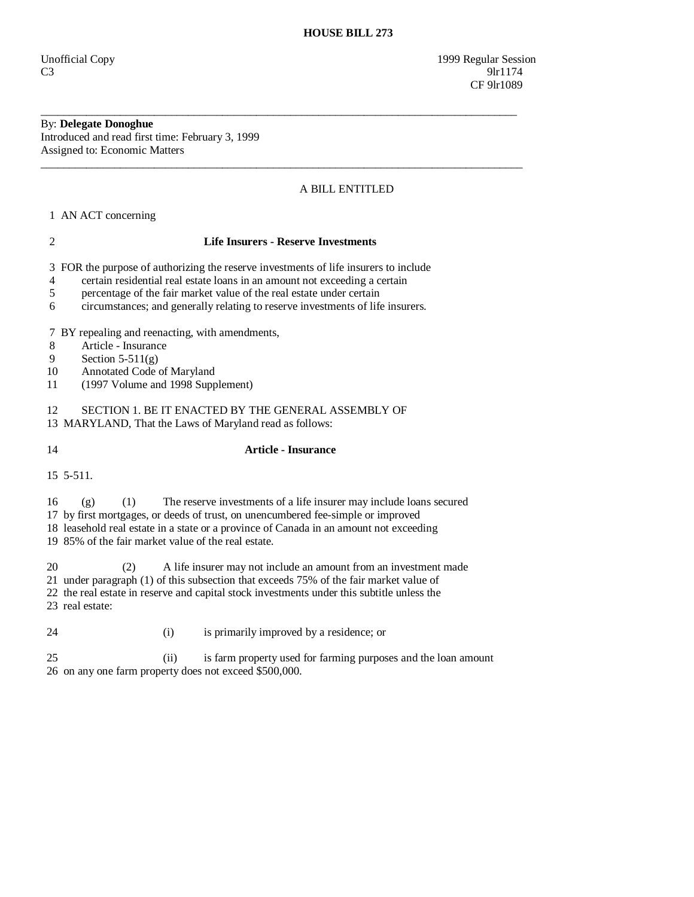Unofficial Copy 1999 Regular Session  $C3$  9lr1174 **CF** 9lr1089

## By: **Delegate Donoghue**

Introduced and read first time: February 3, 1999 Assigned to: Economic Matters

## A BILL ENTITLED

1 AN ACT concerning

#### 2 **Life Insurers - Reserve Investments**

\_\_\_\_\_\_\_\_\_\_\_\_\_\_\_\_\_\_\_\_\_\_\_\_\_\_\_\_\_\_\_\_\_\_\_\_\_\_\_\_\_\_\_\_\_\_\_\_\_\_\_\_\_\_\_\_\_\_\_\_\_\_\_\_\_\_\_\_\_\_\_\_\_\_\_\_\_\_\_\_\_\_\_\_

\_\_\_\_\_\_\_\_\_\_\_\_\_\_\_\_\_\_\_\_\_\_\_\_\_\_\_\_\_\_\_\_\_\_\_\_\_\_\_\_\_\_\_\_\_\_\_\_\_\_\_\_\_\_\_\_\_\_\_\_\_\_\_\_\_\_\_\_\_\_\_\_\_\_\_\_\_\_\_\_\_\_\_\_\_

3 FOR the purpose of authorizing the reserve investments of life insurers to include

- 4 certain residential real estate loans in an amount not exceeding a certain
- 5 percentage of the fair market value of the real estate under certain
- 6 circumstances; and generally relating to reserve investments of life insurers.

7 BY repealing and reenacting, with amendments,

- 8 Article Insurance
- 9 Section 5-511(g)
- 10 Annotated Code of Maryland
- 11 (1997 Volume and 1998 Supplement)

12 SECTION 1. BE IT ENACTED BY THE GENERAL ASSEMBLY OF 13 MARYLAND, That the Laws of Maryland read as follows:

### 14 **Article - Insurance**

15 5-511.

16 (g) (1) The reserve investments of a life insurer may include loans secured

17 by first mortgages, or deeds of trust, on unencumbered fee-simple or improved

18 leasehold real estate in a state or a province of Canada in an amount not exceeding

19 85% of the fair market value of the real estate.

20 (2) A life insurer may not include an amount from an investment made

21 under paragraph (1) of this subsection that exceeds 75% of the fair market value of

- 22 the real estate in reserve and capital stock investments under this subtitle unless the
- 23 real estate:
- 24 (i) is primarily improved by a residence; or

 25 (ii) is farm property used for farming purposes and the loan amount 26 on any one farm property does not exceed \$500,000.